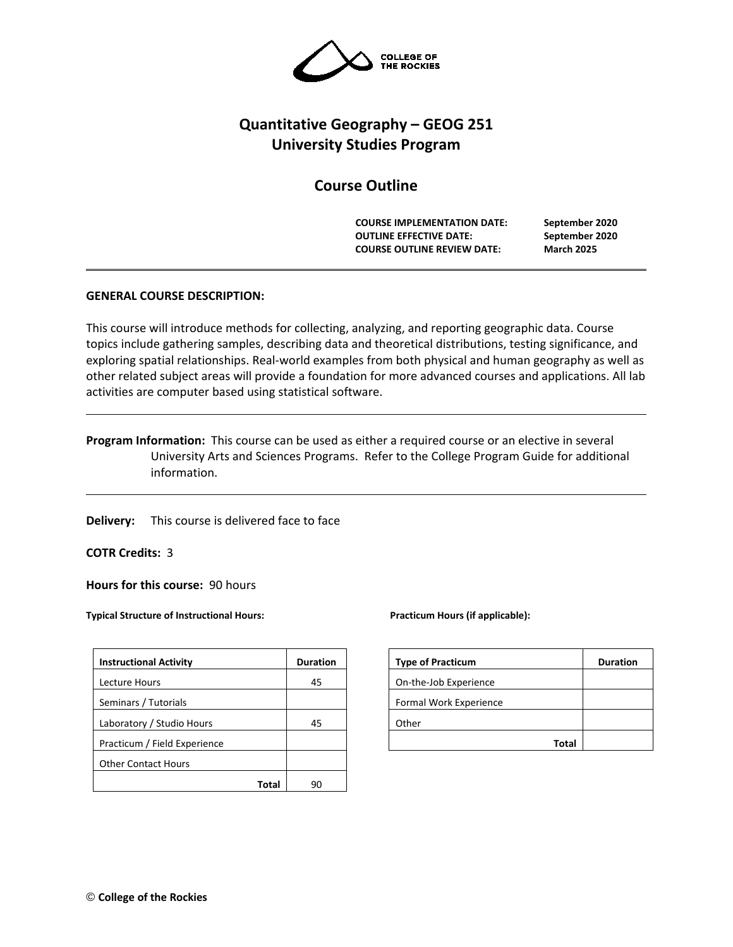

# **Quantitative Geography – GEOG 251 University Studies Program**

# **Course Outline**

**COURSE IMPLEMENTATION DATE: September 2020 OUTLINE EFFECTIVE DATE: September 2020 COURSE OUTLINE REVIEW DATE: March 2025**

# **GENERAL COURSE DESCRIPTION:**

This course will introduce methods for collecting, analyzing, and reporting geographic data. Course topics include gathering samples, describing data and theoretical distributions, testing significance, and exploring spatial relationships. Real-world examples from both physical and human geography as well as other related subject areas will provide a foundation for more advanced courses and applications. All lab activities are computer based using statistical software.

**Program Information:** This course can be used as either a required course or an elective in several University Arts and Sciences Programs. Refer to the College Program Guide for additional information.

**Delivery:** This course is delivered face to face

**COTR Credits:** 3

**Hours for this course:** 90 hours

**Typical Structure of Instructional Hours:** Practicum Hours (if applicable):

| <b>Instructional Activity</b> | <b>Duration</b> | <b>Type of Practicum</b> | <b>Duration</b> |
|-------------------------------|-----------------|--------------------------|-----------------|
| Lecture Hours                 | 45              | On-the-Job Experience    |                 |
| Seminars / Tutorials          |                 | Formal Work Experience   |                 |
| Laboratory / Studio Hours     | 45              | Other                    |                 |
| Practicum / Field Experience  |                 | <b>Total</b>             |                 |
| <b>Other Contact Hours</b>    |                 |                          |                 |
| <b>Total</b>                  | 90              |                          |                 |

| <b>Type of Practicum</b> | <b>Duration</b> |
|--------------------------|-----------------|
| On-the-Job Experience    |                 |
| Formal Work Experience   |                 |
| Other                    |                 |
| Total                    |                 |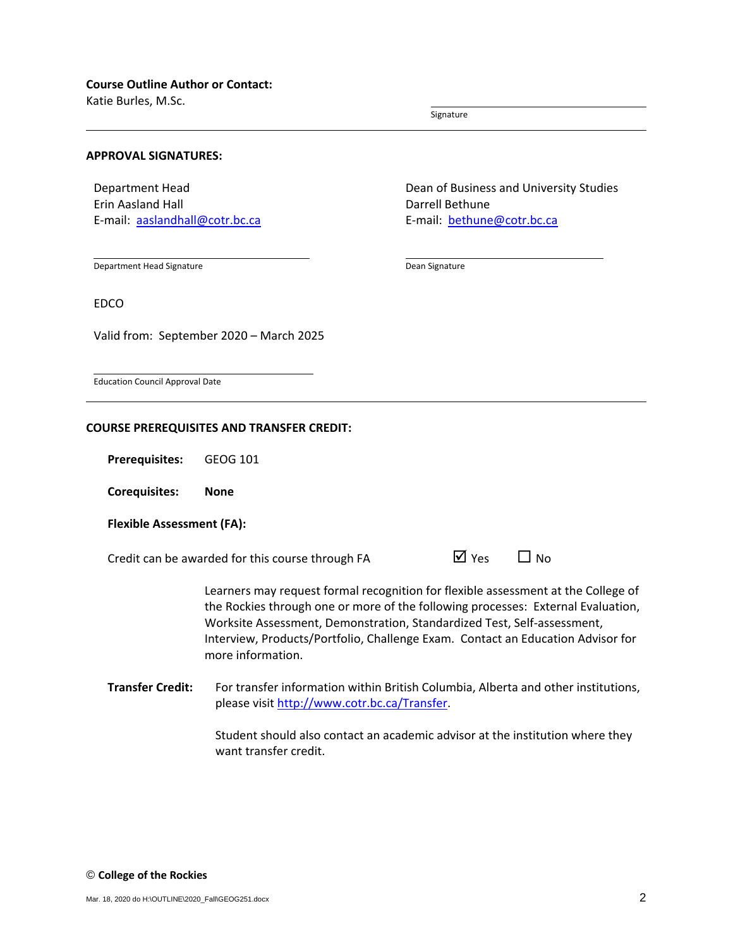Katie Burles, M.Sc.

Signature

## **APPROVAL SIGNATURES:**

Department Head Erin Aasland Hall E-mail: [aaslandhall@cotr.bc.ca](mailto:aaslandhall@cotr.bc.ca) Dean of Business and University Studies Darrell Bethune E-mail: [bethune@cotr.bc.ca](mailto:bethune@cotr.bc.ca)

Department Head Signature

Dean Signature

EDCO

Valid from: September 2020 – March 2025

Education Council Approval Date

#### **COURSE PREREQUISITES AND TRANSFER CREDIT:**

**Prerequisites:** GEOG 101

**Corequisites: None**

## **Flexible Assessment (FA):**

Credit can be awarded for this course through FA  $\Box$  Yes  $\Box$  No

|  | ⊠ Yes |  | $\Box$ No |
|--|-------|--|-----------|
|--|-------|--|-----------|

Learners may request formal recognition for flexible assessment at the College of the Rockies through one or more of the following processes: External Evaluation, Worksite Assessment, Demonstration, Standardized Test, Self-assessment, Interview, Products/Portfolio, Challenge Exam. Contact an Education Advisor for more information.

**Transfer Credit:** For transfer information within British Columbia, Alberta and other institutions, please visit [http://www.cotr.bc.ca/Transfer.](http://www.cotr.bc.ca/Transfer)

> Student should also contact an academic advisor at the institution where they want transfer credit.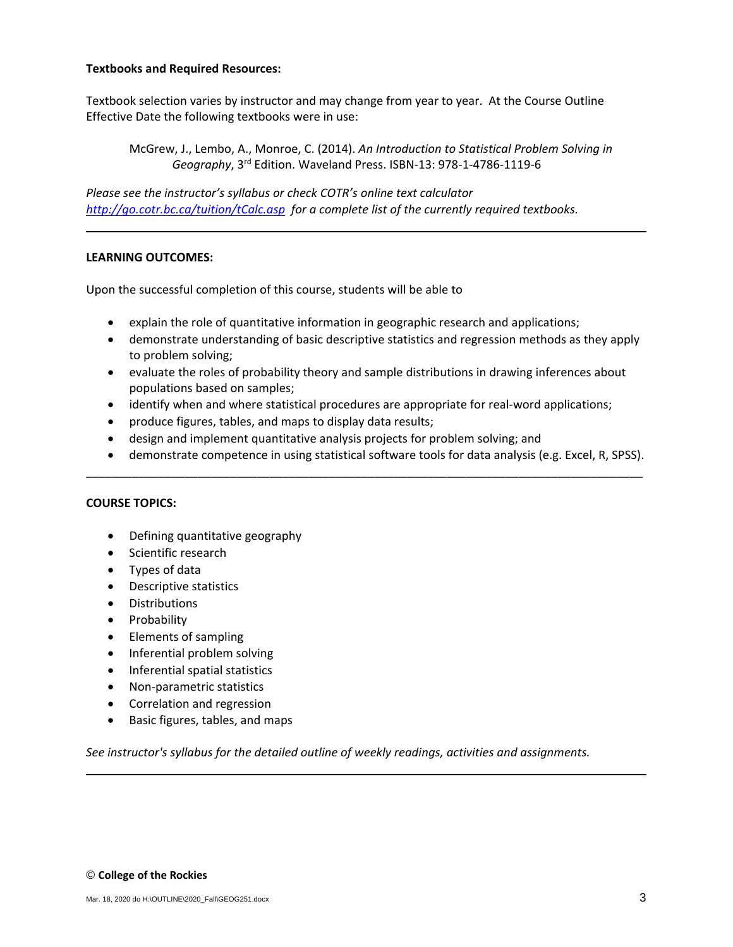## **Textbooks and Required Resources:**

Textbook selection varies by instructor and may change from year to year. At the Course Outline Effective Date the following textbooks were in use:

McGrew, J., Lembo, A., Monroe, C. (2014). *An Introduction to Statistical Problem Solving in Geography*, 3rd Edition. Waveland Press. ISBN-13: 978-1-4786-1119-6

*Please see the instructor's syllabus or check COTR's online text calculator <http://go.cotr.bc.ca/tuition/tCalc.asp>for a complete list of the currently required textbooks.*

# **LEARNING OUTCOMES:**

Upon the successful completion of this course, students will be able to

- explain the role of quantitative information in geographic research and applications;
- demonstrate understanding of basic descriptive statistics and regression methods as they apply to problem solving;
- evaluate the roles of probability theory and sample distributions in drawing inferences about populations based on samples;
- identify when and where statistical procedures are appropriate for real-word applications;
- produce figures, tables, and maps to display data results;
- design and implement quantitative analysis projects for problem solving; and
- demonstrate competence in using statistical software tools for data analysis (e.g. Excel, R, SPSS).

\_\_\_\_\_\_\_\_\_\_\_\_\_\_\_\_\_\_\_\_\_\_\_\_\_\_\_\_\_\_\_\_\_\_\_\_\_\_\_\_\_\_\_\_\_\_\_\_\_\_\_\_\_\_\_\_\_\_\_\_\_\_\_\_\_\_\_\_\_\_\_\_\_\_\_\_\_\_\_\_\_\_\_\_\_

## **COURSE TOPICS:**

- Defining quantitative geography
- Scientific research
- Types of data
- Descriptive statistics
- Distributions
- Probability
- Elements of sampling
- Inferential problem solving
- Inferential spatial statistics
- Non-parametric statistics
- Correlation and regression
- Basic figures, tables, and maps

*See instructor's syllabus for the detailed outline of weekly readings, activities and assignments.*

## © **College of the Rockies**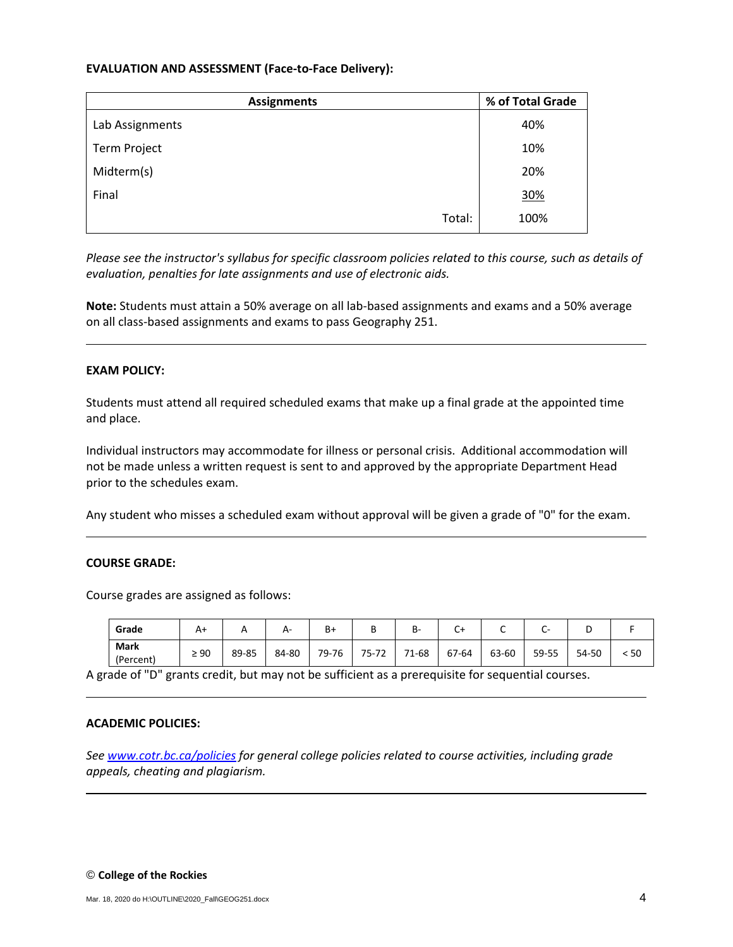## **EVALUATION AND ASSESSMENT (Face-to-Face Delivery):**

| <b>Assignments</b> | % of Total Grade |  |  |
|--------------------|------------------|--|--|
| Lab Assignments    | 40%              |  |  |
| Term Project       | 10%              |  |  |
| Midterm(s)         | 20%              |  |  |
| Final              | 30%              |  |  |
| Total:             | 100%             |  |  |

*Please see the instructor's syllabus for specific classroom policies related to this course, such as details of evaluation, penalties for late assignments and use of electronic aids.*

**Note:** Students must attain a 50% average on all lab-based assignments and exams and a 50% average on all class-based assignments and exams to pass Geography 251.

#### **EXAM POLICY:**

Students must attend all required scheduled exams that make up a final grade at the appointed time and place.

Individual instructors may accommodate for illness or personal crisis. Additional accommodation will not be made unless a written request is sent to and approved by the appropriate Department Head prior to the schedules exam.

Any student who misses a scheduled exam without approval will be given a grade of "0" for the exam.

#### **COURSE GRADE:**

Course grades are assigned as follows:

| Grade                    |           |       | А-    | $B+$  | ັ     | В-    | Ut.   | ◡     | -     | ◡     |    |
|--------------------------|-----------|-------|-------|-------|-------|-------|-------|-------|-------|-------|----|
| <b>Mark</b><br>(Percent) | $\geq 90$ | 89-85 | 84-80 | 79-76 | 75-72 | 71-68 | 67-64 | 63-60 | 59-55 | 54-50 | 50 |

A grade of "D" grants credit, but may not be sufficient as a prerequisite for sequential courses.

#### **ACADEMIC POLICIES:**

*See [www.cotr.bc.ca/policies](http://www.cotr.bc.ca/policies) for general college policies related to course activities, including grade appeals, cheating and plagiarism.*

#### © **College of the Rockies**